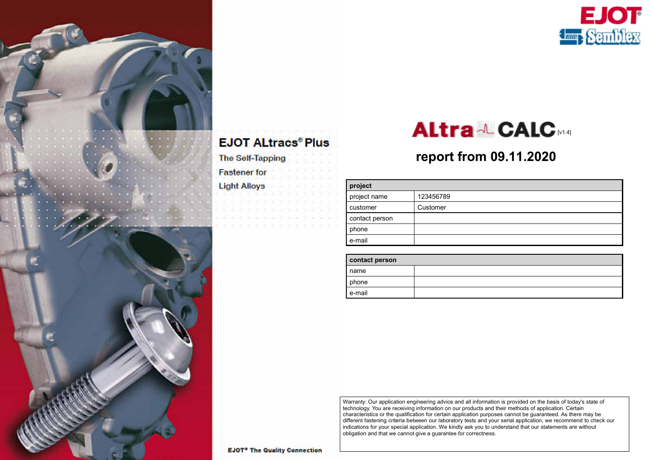

#### **EJOT ALtracs® Plus**

**The Self-Tapping** 

**Fastener** for

**Light Alloys** 

## [v1.4]

#### **report from 09.11.2020**

| project        |           |  |
|----------------|-----------|--|
| project name   | 123456789 |  |
| customer       | Customer  |  |
| contact person |           |  |
| phone          |           |  |
| e-mail         |           |  |

| contact person |  |  |  |
|----------------|--|--|--|
| name           |  |  |  |
| phone          |  |  |  |
| e-mail         |  |  |  |

Warranty: Our application engineering advice and all information is provided on the basis of today's state of technology. You are receiving information on our products and their methods of application. Certain characteristics or the qualification for certain application purposes cannot be guaranteed. As there may be different fastening criteria between our laboratory tests and your serial application, we recommend to check our indications for your special application. We kindly ask you to understand that our statements are without obligation and that we cannot give a guarantee for correctness.

**EJOT<sup>®</sup>** The Quality Connection

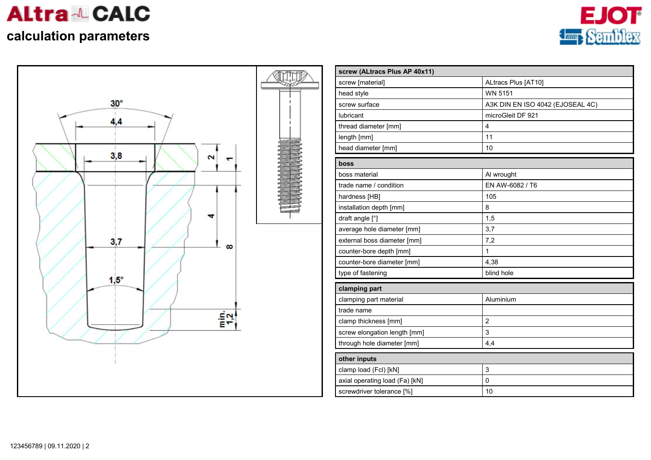

### **calculation parameters**





| screw (ALtracs Plus AP 40x11)  |                                  |
|--------------------------------|----------------------------------|
| screw [material]               | ALtracs Plus [AT10]              |
| head style                     | <b>WN 5151</b>                   |
| screw surface                  | A3K DIN EN ISO 4042 (EJOSEAL 4C) |
| <b>lubricant</b>               | microGleit DF 921                |
| thread diameter [mm]           | $\overline{4}$                   |
| length [mm]                    | 11                               |
| head diameter [mm]             | 10                               |
| boss                           |                                  |
| boss material                  | Al wrought                       |
| trade name / condition         | EN AW-6082 / T6                  |
| hardness [HB]                  | 105                              |
| installation depth [mm]        | 8                                |
| draft angle [°]                | 1,5                              |
| average hole diameter [mm]     | 3,7                              |
| external boss diameter [mm]    | 7,2                              |
| counter-bore depth [mm]        | $\mathbf{1}$                     |
| counter-bore diameter [mm]     | 4,38                             |
| type of fastening              | blind hole                       |
| clamping part                  |                                  |
| clamping part material         | Aluminium                        |
| trade name                     |                                  |
| clamp thickness [mm]           | $\overline{2}$                   |
| screw elongation length [mm]   | 3                                |
| through hole diameter [mm]     | 4,4                              |
| other inputs                   |                                  |
| clamp load (Fcl) [kN]          | 3                                |
| axial operating load (Fa) [kN] | $\mathbf 0$                      |
| screwdriver tolerance [%]      | 10                               |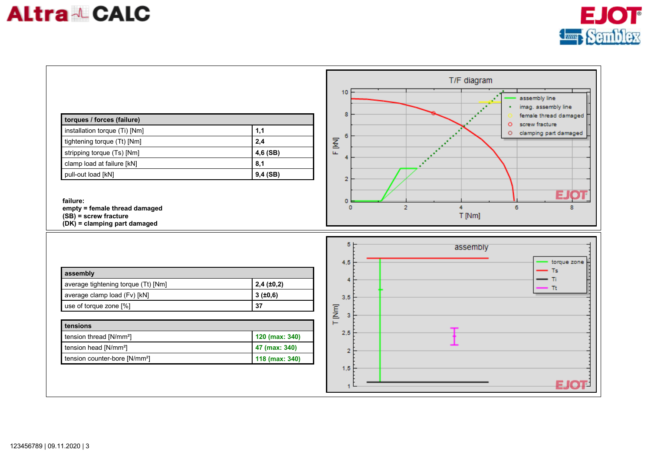# **Altra & CALC**



| torques / forces (failure)<br>installation torque (Ti) [Nm]<br>tightening torque (Tt) [Nm]<br>stripping torque (Ts) [Nm]<br>clamp load at failure [kN]<br>pull-out load [kN]<br>failure:<br>empty = female thread damaged<br>$(SB)$ = screw fracture<br>$(DK)$ = clamping part damaged | 1,1<br>2,4<br>4,6 (SB)<br>8,1<br>$9,4$ (SB)                                     | T/F diagram<br>10<br>assembly line<br>imag. assembly line<br>8<br>female thread damaged<br>screw fracture<br>$\circ$<br>clamping part damaged<br>$\circ$<br>6<br>F IKIJ<br>4<br>$\overline{2}$<br>E.<br>o<br>$\overline{2}$<br>6<br>$\circ$<br>4<br>T [Nm] |                    |
|----------------------------------------------------------------------------------------------------------------------------------------------------------------------------------------------------------------------------------------------------------------------------------------|---------------------------------------------------------------------------------|------------------------------------------------------------------------------------------------------------------------------------------------------------------------------------------------------------------------------------------------------------|--------------------|
| assembly<br>average tightening torque (Tt) [Nm]<br>average clamp load (Fv) [kN]<br>use of torque zone [%]<br>tensions<br>tension thread [N/mm <sup>2</sup> ]<br>tension head [N/mm <sup>2</sup> ]<br>tension counter-bore [N/mm <sup>2</sup> ]                                         | 2,4(±0,2)<br>3(±0,6)<br>37<br>120 (max: 340)<br>47 (max: 340)<br>118 (max: 340) | 5<br>assembly<br>4,5<br><b>Ts</b><br>Πī<br>4<br>Τt<br>3,5<br>T [Nm]<br>з<br>2,5<br>$\overline{2}$<br>1,5                                                                                                                                                   | torque zone<br>EJO |